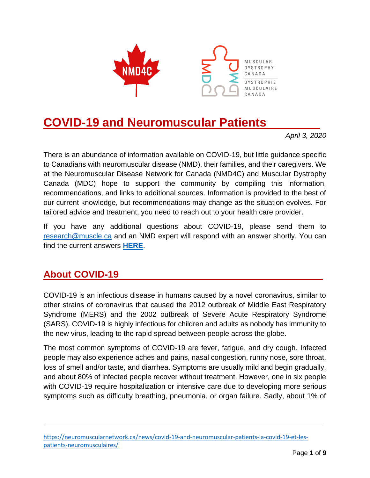

# **COVID-19 and Neuromuscular Patients .**

*April 3, 2020*

There is an abundance of information available on COVID-19, but little guidance specific to Canadians with neuromuscular disease (NMD), their families, and their caregivers. We at the Neuromuscular Disease Network for Canada (NMD4C) and Muscular Dystrophy Canada (MDC) hope to support the community by compiling this information, recommendations, and links to additional sources. Information is provided to the best of our current knowledge, but recommendations may change as the situation evolves. For tailored advice and treatment, you need to reach out to your health care provider.

If you have any additional questions about COVID-19, please send them to [research@muscle.ca](mailto:research@muscle.ca) and an NMD expert will respond with an answer shortly. You can find the current answers **[HERE](https://muscle.ca/covid-19/ask-the-experts/)**.

#### **About COVID-19 .**

COVID-19 is an infectious disease in humans caused by a novel coronavirus, similar to other strains of coronavirus that caused the 2012 outbreak of Middle East Respiratory Syndrome (MERS) and the 2002 outbreak of Severe Acute Respiratory Syndrome (SARS). COVID-19 is highly infectious for children and adults as nobody has immunity to the new virus, leading to the rapid spread between people across the globe.

The most common symptoms of COVID-19 are fever, fatigue, and dry cough. Infected people may also experience aches and pains, nasal congestion, runny nose, sore throat, loss of smell and/or taste, and diarrhea. Symptoms are usually mild and begin gradually, and about 80% of infected people recover without treatment. However, one in six people with COVID-19 require hospitalization or intensive care due to developing more serious symptoms such as difficulty breathing, pneumonia, or organ failure. Sadly, about 1% of

[https://neuromuscularnetwork.ca/news/covid-19-and-neuromuscular-patients-la-covid-19-et-les](https://neuromuscularnetwork.ca/news/covid-19-and-neuromuscular-patients-la-covid-19-et-les-patients-neuromusculaires/)[patients-neuromusculaires/](https://neuromuscularnetwork.ca/news/covid-19-and-neuromuscular-patients-la-covid-19-et-les-patients-neuromusculaires/)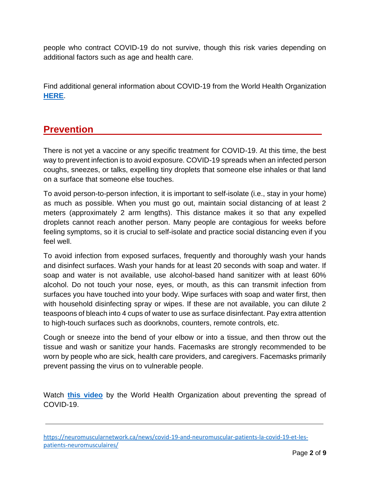people who contract COVID-19 do not survive, though this risk varies depending on additional factors such as age and health care.

Find additional general information about COVID-19 from the World Health Organization **[HERE](https://www.who.int/emergencies/diseases/novel-coronavirus-2019)**.

### **Prevention .**

There is not yet a vaccine or any specific treatment for COVID-19. At this time, the best way to prevent infection is to avoid exposure. COVID-19 spreads when an infected person coughs, sneezes, or talks, expelling tiny droplets that someone else inhales or that land on a surface that someone else touches.

To avoid person-to-person infection, it is important to self-isolate (i.e., stay in your home) as much as possible. When you must go out, maintain social distancing of at least 2 meters (approximately 2 arm lengths). This distance makes it so that any expelled droplets cannot reach another person. Many people are contagious for weeks before feeling symptoms, so it is crucial to self-isolate and practice social distancing even if you feel well.

To avoid infection from exposed surfaces, frequently and thoroughly wash your hands and disinfect surfaces. Wash your hands for at least 20 seconds with soap and water. If soap and water is not available, use alcohol-based hand sanitizer with at least 60% alcohol. Do not touch your nose, eyes, or mouth, as this can transmit infection from surfaces you have touched into your body. Wipe surfaces with soap and water first, then with household disinfecting spray or wipes. If these are not available, you can dilute 2 teaspoons of bleach into 4 cups of water to use as surface disinfectant. Pay extra attention to high-touch surfaces such as doorknobs, counters, remote controls, etc.

Cough or sneeze into the bend of your elbow or into a tissue, and then throw out the tissue and wash or sanitize your hands. Facemasks are strongly recommended to be worn by people who are sick, health care providers, and caregivers. Facemasks primarily prevent passing the virus on to vulnerable people.

Watch **[this video](https://www.youtube.com/watch?v=1APwq1df6Mw)** by the World Health Organization about preventing the spread of COVID-19.

[https://neuromuscularnetwork.ca/news/covid-19-and-neuromuscular-patients-la-covid-19-et-les](https://neuromuscularnetwork.ca/news/covid-19-and-neuromuscular-patients-la-covid-19-et-les-patients-neuromusculaires/)[patients-neuromusculaires/](https://neuromuscularnetwork.ca/news/covid-19-and-neuromuscular-patients-la-covid-19-et-les-patients-neuromusculaires/)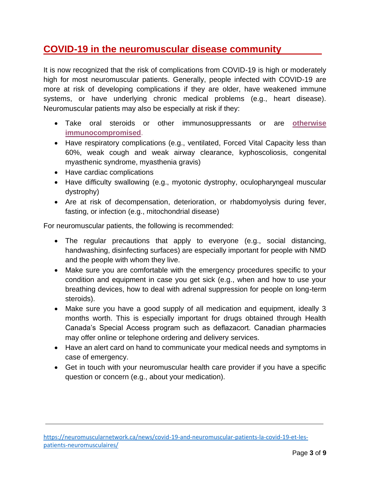### **COVID-19 in the neuromuscular disease community .**

It is now recognized that the risk of complications from COVID-19 is high or moderately high for most neuromuscular patients. Generally, people infected with COVID-19 are more at risk of developing complications if they are older, have weakened immune systems, or have underlying chronic medical problems (e.g., heart disease). Neuromuscular patients may also be especially at risk if they:

- Take oral steroids or other immunosuppressants or are **[otherwise](https://www.inesss.qc.ca/en/covid-19/presentation-clinique/immunosuppression.html)  [immunocompromised](https://www.inesss.qc.ca/en/covid-19/presentation-clinique/immunosuppression.html)**.
- Have respiratory complications (e.g., ventilated, Forced Vital Capacity less than 60%, weak cough and weak airway clearance, kyphoscoliosis, congenital myasthenic syndrome, myasthenia gravis)
- Have cardiac complications
- Have difficulty swallowing (e.g., myotonic dystrophy, oculopharyngeal muscular dystrophy)
- Are at risk of decompensation, deterioration, or rhabdomyolysis during fever, fasting, or infection (e.g., mitochondrial disease)

For neuromuscular patients, the following is recommended:

- The regular precautions that apply to everyone (e.g., social distancing, handwashing, disinfecting surfaces) are especially important for people with NMD and the people with whom they live.
- Make sure you are comfortable with the emergency procedures specific to your condition and equipment in case you get sick (e.g., when and how to use your breathing devices, how to deal with adrenal suppression for people on long-term steroids).
- Make sure you have a good supply of all medication and equipment, ideally 3 months worth. This is especially important for drugs obtained through Health Canada's Special Access program such as deflazacort. Canadian pharmacies may offer online or telephone ordering and delivery services.
- Have an alert card on hand to communicate your medical needs and symptoms in case of emergency.
- Get in touch with your neuromuscular health care provider if you have a specific question or concern (e.g., about your medication).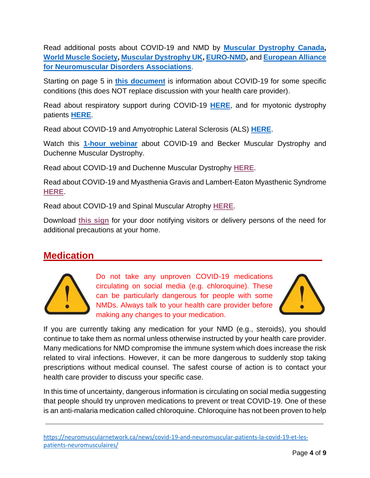Read additional posts about COVID-19 and NMD by **[Muscular Dystrophy Canada,](https://muscle.ca/covid-19/ask-the-experts/) [World Muscle Society,](https://www.worldmusclesociety.org/news/view/150) [Muscular Dystrophy UK,](https://www.musculardystrophyuk.org/news/news/detailed-guidance-on-risks-from-coronavirus/) [EURO-NMD,](https://ern-euro-nmd.eu/covid-19-latest-news/)** and **[European Alliance](http://www.eamda.eu/2020/03/19/coronavirus-covid-19-information-for-people-with-nmd/)  [for Neuromuscular Disorders Associations](http://www.eamda.eu/2020/03/19/coronavirus-covid-19-information-for-people-with-nmd/)**.

Starting on page 5 in **this [document](https://cdn.ymaws.com/www.theabn.org/resource/collection/6750BAE6-4CBC-4DDB-A684-116E03BFE634/ABN_Neurology_COVID-19_Guidance_22.3.20.pdf)** is information about COVID-19 for some specific conditions (this does NOT replace discussion with your health care provider).

Read about respiratory support during COVID-19 **[HERE](https://neuromuscularnetwork.ca/news/covid-19-resources-care-recommendations-for-home-based-ventilation-patients/)**, and for myotonic dystrophy patients **[HERE](https://neuromuscularnetwork.ca/news/pulmonary-support-for-myotonic-dystrophy-patients-during-covid-19-pandemic-assistance-pulmonaire-pour-les-patients-atteints-de-dystrophie-myotonique-durant-la-pandemie-de-covid-19/)**.

Read about COVID-19 and Amyotrophic Lateral Sclerosis (ALS) **[HERE](https://www.als.ca/blogs/covid-19-update/)**.

Watch this **[1-hour webinar](https://www.youtube.com/watch?v=3DKEeRV8alA&feature=youtu.be)** about COVID-19 and Becker Muscular Dystrophy and Duchenne Muscular Dystrophy.

Read about COVID-19 and Duchenne Muscular Dystrophy **[HERE](https://join.parentprojectmd.org/site/SPageNavigator/ppmd_coronavirus_faqs.html)**.

Read about COVID-19 and Myasthenia Gravis and Lambert-Eaton Myasthenic Syndrome **[HERE](https://ern-euro-nmd.eu/ern/wp-content/uploads/2020/03/MG_COVID19_guidelines.pdf)**.

Read about COVID-19 and Spinal Muscular Atrophy **[HERE](https://www.curesma.org/cure-sma-coronavirus-questions/)**.

Download **[this sign](https://www.curesma.org/wp-content/uploads/2020/03/2020_CureSMA_COVID_Sign_vGeneral.pdf)** for your door notifying visitors or delivery persons of the need for additional precautions at your home.

#### **Medication .**



Do not take any unproven COVID-19 medications circulating on social media (e.g. chloroquine). These can be particularly dangerous for people with some NMDs. Always talk to your health care provider before making any changes to your medication.



If you are currently taking any medication for your NMD (e.g., steroids), you should continue to take them as normal unless otherwise instructed by your health care provider. Many medications for NMD compromise the immune system which does increase the risk related to viral infections. However, it can be more dangerous to suddenly stop taking prescriptions without medical counsel. The safest course of action is to contact your health care provider to discuss your specific case.

In this time of uncertainty, dangerous information is circulating on social media suggesting that people should try unproven medications to prevent or treat COVID-19. One of these is an anti-malaria medication called chloroquine. Chloroquine has not been proven to help

[https://neuromuscularnetwork.ca/news/covid-19-and-neuromuscular-patients-la-covid-19-et-les](https://neuromuscularnetwork.ca/news/covid-19-and-neuromuscular-patients-la-covid-19-et-les-patients-neuromusculaires/)[patients-neuromusculaires/](https://neuromuscularnetwork.ca/news/covid-19-and-neuromuscular-patients-la-covid-19-et-les-patients-neuromusculaires/)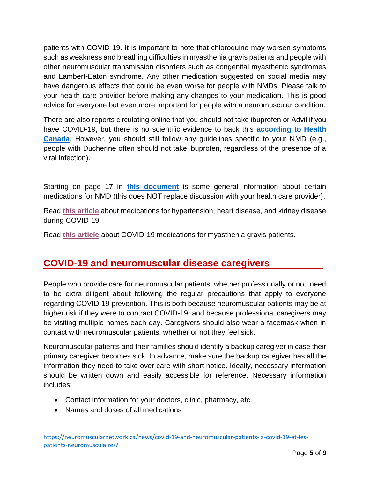patients with COVID-19. It is important to note that chloroquine may worsen symptoms such as weakness and breathing difficulties in myasthenia gravis patients and people with other neuromuscular transmission disorders such as congenital myasthenic syndromes and Lambert-Eaton syndrome. Any other medication suggested on social media may have dangerous effects that could be even worse for people with NMDs. Please talk to your health care provider before making any changes to your medication. This is good advice for everyone but even more important for people with a neuromuscular condition.

There are also reports circulating online that you should not take ibuprofen or Advil if you have COVID-19, but there is no scientific evidence to back this **[according to Health](https://healthycanadians.gc.ca/recall-alert-rappel-avis/hc-sc/2020/72633a-eng.php)  [Canada](https://healthycanadians.gc.ca/recall-alert-rappel-avis/hc-sc/2020/72633a-eng.php)**. However, you should still follow any guidelines specific to your NMD (e.g., people with Duchenne often should not take ibuprofen, regardless of the presence of a viral infection).

Starting on page 17 in **this [document](https://cdn.ymaws.com/www.theabn.org/resource/collection/6750BAE6-4CBC-4DDB-A684-116E03BFE634/ABN_Neurology_COVID-19_Guidance_22.3.20.pdf)** is some general information about certain medications for NMD (this does NOT replace discussion with your health care provider).

Read **[this article](https://www.ema.europa.eu/en/news/ema-advises-continued-use-medicines-hypertension-heart-kidney-disease-during-covid-19-pandemic)** about medications for hypertension, heart disease, and kidney disease during COVID-19.

Read **[this article](https://www.afm-telethon.fr/actualites/chloroquine-myasthenie-contre-indication-absolue-140307)** about COVID-19 medications for myasthenia gravis patients.

#### **COVID-19 and neuromuscular disease caregivers .**

People who provide care for neuromuscular patients, whether professionally or not, need to be extra diligent about following the regular precautions that apply to everyone regarding COVID-19 prevention. This is both because neuromuscular patients may be at higher risk if they were to contract COVID-19, and because professional caregivers may be visiting multiple homes each day. Caregivers should also wear a facemask when in contact with neuromuscular patients, whether or not they feel sick.

Neuromuscular patients and their families should identify a backup caregiver in case their primary caregiver becomes sick. In advance, make sure the backup caregiver has all the information they need to take over care with short notice. Ideally, necessary information should be written down and easily accessible for reference. Necessary information includes:

- Contact information for your doctors, clinic, pharmacy, etc.
- Names and doses of all medications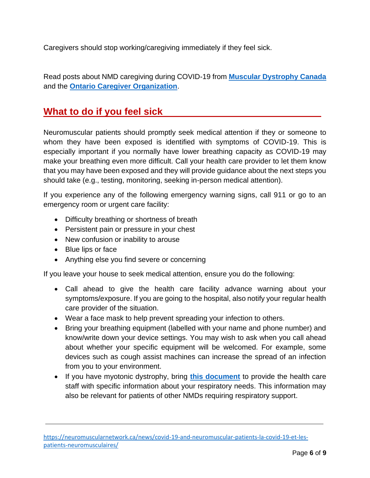Caregivers should stop working/caregiving immediately if they feel sick.

Read posts about NMD caregiving during COVID-19 from **[Muscular Dystrophy Canada](https://www.facebook.com/MuscularDystrophyCA/photos/a.10150090636542481/10157333259762481/?type=3&theater)** and the **[Ontario Caregiver Organization](https://ontariocaregiver.ca/family-caregivers-and-covid-19-precautions-caregivers-need-to-take-now/)**.

#### **What to do if you feel sick .**

Neuromuscular patients should promptly seek medical attention if they or someone to whom they have been exposed is identified with symptoms of COVID-19. This is especially important if you normally have lower breathing capacity as COVID-19 may make your breathing even more difficult. Call your health care provider to let them know that you may have been exposed and they will provide guidance about the next steps you should take (e.g., testing, monitoring, seeking in-person medical attention).

If you experience any of the following emergency warning signs, call 911 or go to an emergency room or urgent care facility:

- Difficulty breathing or shortness of breath
- Persistent pain or pressure in your chest
- New confusion or inability to arouse
- Blue lips or face
- Anything else you find severe or concerning

If you leave your house to seek medical attention, ensure you do the following:

- Call ahead to give the health care facility advance warning about your symptoms/exposure. If you are going to the hospital, also notify your regular health care provider of the situation.
- Wear a face mask to help prevent spreading your infection to others.
- Bring your breathing equipment (labelled with your name and phone number) and know/write down your device settings. You may wish to ask when you call ahead about whether your specific equipment will be welcomed. For example, some devices such as cough assist machines can increase the spread of an infection from you to your environment.
- If you have myotonic dystrophy, bring **this [document](https://www.myotonic.org/sites/default/files/pages/files/Pulmonary-Support-for-Myotonic-Dystrophy-Patients-During-COVID-19-Pandemic-20200-3-23.pdf)** to provide the health care staff with specific information about your respiratory needs. This information may also be relevant for patients of other NMDs requiring respiratory support.

[https://neuromuscularnetwork.ca/news/covid-19-and-neuromuscular-patients-la-covid-19-et-les](https://neuromuscularnetwork.ca/news/covid-19-and-neuromuscular-patients-la-covid-19-et-les-patients-neuromusculaires/)[patients-neuromusculaires/](https://neuromuscularnetwork.ca/news/covid-19-and-neuromuscular-patients-la-covid-19-et-les-patients-neuromusculaires/)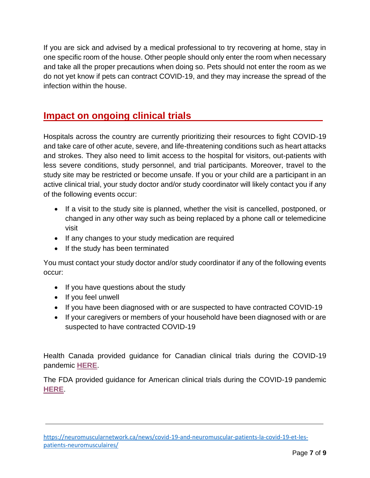If you are sick and advised by a medical professional to try recovering at home, stay in one specific room of the house. Other people should only enter the room when necessary and take all the proper precautions when doing so. Pets should not enter the room as we do not yet know if pets can contract COVID-19, and they may increase the spread of the infection within the house.

#### **Impact on ongoing clinical trials .**

Hospitals across the country are currently prioritizing their resources to fight COVID-19 and take care of other acute, severe, and life-threatening conditions such as heart attacks and strokes. They also need to limit access to the hospital for visitors, out-patients with less severe conditions, study personnel, and trial participants. Moreover, travel to the study site may be restricted or become unsafe. If you or your child are a participant in an active clinical trial, your study doctor and/or study coordinator will likely contact you if any of the following events occur:

- If a visit to the study site is planned, whether the visit is cancelled, postponed, or changed in any other way such as being replaced by a phone call or telemedicine visit
- If any changes to your study medication are required
- If the study has been terminated

You must contact your study doctor and/or study coordinator if any of the following events occur:

- If you have questions about the study
- If you feel unwell
- If you have been diagnosed with or are suspected to have contracted COVID-19
- If your caregivers or members of your household have been diagnosed with or are suspected to have contracted COVID-19

Health Canada provided guidance for Canadian clinical trials during the COVID-19 pandemic **[HERE](https://www.canada.ca/en/health-canada/services/drugs-health-products/drug-products/announcements/management-clinical-trials-during-covid-19-pandemic.html)**.

The FDA provided guidance for American clinical trials during the COVID-19 pandemic **[HERE](https://www.fda.gov/media/136238/download)**.

[https://neuromuscularnetwork.ca/news/covid-19-and-neuromuscular-patients-la-covid-19-et-les](https://neuromuscularnetwork.ca/news/covid-19-and-neuromuscular-patients-la-covid-19-et-les-patients-neuromusculaires/)[patients-neuromusculaires/](https://neuromuscularnetwork.ca/news/covid-19-and-neuromuscular-patients-la-covid-19-et-les-patients-neuromusculaires/)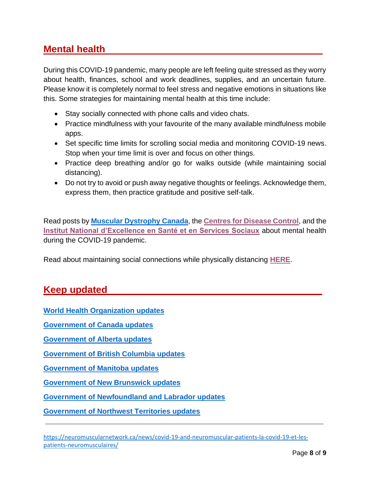# **Mental health .**

During this COVID-19 pandemic, many people are left feeling quite stressed as they worry about health, finances, school and work deadlines, supplies, and an uncertain future. Please know it is completely normal to feel stress and negative emotions in situations like this. Some strategies for maintaining mental health at this time include:

- Stay socially connected with phone calls and video chats.
- Practice mindfulness with your favourite of the many available mindfulness mobile apps.
- Set specific time limits for scrolling social media and monitoring COVID-19 news. Stop when your time limit is over and focus on other things.
- Practice deep breathing and/or go for walks outside (while maintaining social distancing).
- Do not try to avoid or push away negative thoughts or feelings. Acknowledge them, express them, then practice gratitude and positive self-talk.

Read posts by **[Muscular Dystrophy Canada](https://www.facebook.com/MuscularDystrophyCA/photos/a.10150090636542481/10157356425267481/?type=3&theater)**, the **[Centres for Disease Control](https://www.cdc.gov/coronavirus/2019-ncov/daily-life-coping/managing-stress-anxiety.html?CDC_AA_refVal=https%3A%2F%2Fwww.cdc.gov%2Fcoronavirus%2F2019-ncov%2Fprepare%2Fmanaging-stress-anxiety.html)**, and the **[Institut National d'Excellence en Santé et en Services Sociaux](https://www.inesss.qc.ca/en/covid-19/services-sociaux/effets-du-contexte-de-la-pandemie-sur-la-sante-mentale-et-mesures-a-mettre-en-place-pour-contrer-ces-effets.html)** about mental health during the COVID-19 pandemic.

Read about maintaining social connections while physically distancing **[HERE](https://www.inesss.qc.ca/en/covid-19/services-sociaux/socialisation-a-distance-personnes-hebergees-et-proches-aidants.html)**.

# **Keep updated .**

**[World Health Organization updates](https://www.who.int/emergencies/diseases/novel-coronavirus-2019/situation-reports)**

**[Government of Canada updates](https://www.canada.ca/en/public-health/services/diseases/2019-novel-coronavirus-infection.html)**

**[Government of Alberta updates](https://www.alberta.ca/coronavirus-info-for-albertans.aspx)**

**Government [of British Columbia updates](https://www2.gov.bc.ca/gov/content/safety/emergency-preparedness-response-recovery/covid-19-provincial-support)**

**[Government of Manitoba updates](https://www.gov.mb.ca/covid19/index.html)**

**[Government of New Brunswick updates](https://www2.gnb.ca/content/gnb/en/departments/ocmoh/cdc/content/respiratory_diseases/coronavirus.html)**

**[Government of Newfoundland and Labrador updates](https://www.gov.nl.ca/covid-19/)**

**[Government of Northwest Territories updates](https://www.hss.gov.nt.ca/en/services/coronavirus-disease-covid-19)**